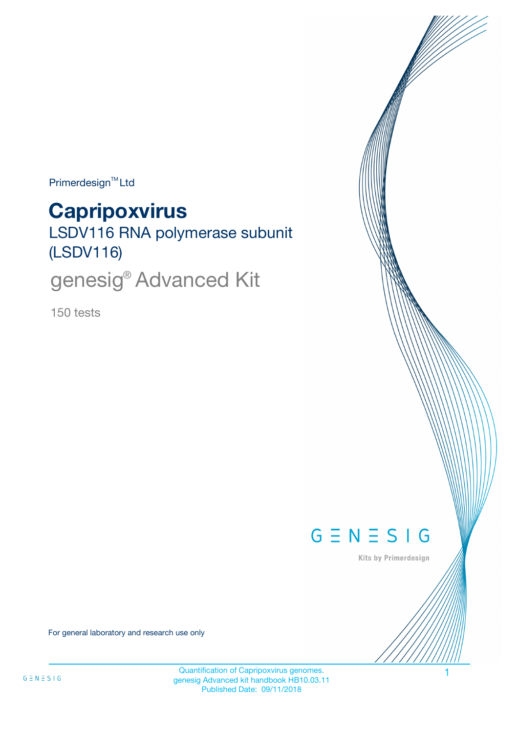$Primerdesign^{\text{TM}}$ Ltd

# **Capripoxvirus**

LSDV116 RNA polymerase subunit (LSDV116)

genesig<sup>®</sup> Advanced Kit

150 tests



Kits by Primerdesign

For general laboratory and research use only

Quantification of Capripoxvirus genomes. 1 genesig Advanced kit handbook HB10.03.11 Published Date: 09/11/2018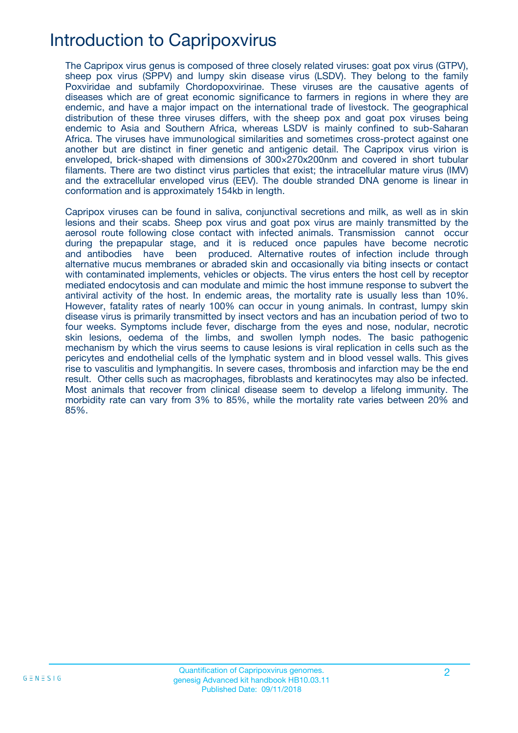# Introduction to Capripoxvirus

The Capripox virus genus is composed of three closely related viruses: goat pox virus (GTPV), sheep pox virus (SPPV) and lumpy skin disease virus (LSDV). They belong to the family Poxviridae and subfamily Chordopoxvirinae. These viruses are the causative agents of diseases which are of great economic significance to farmers in regions in where they are endemic, and have a major impact on the international trade of livestock. The geographical distribution of these three viruses differs, with the sheep pox and goat pox viruses being endemic to Asia and Southern Africa, whereas LSDV is mainly confined to sub-Saharan Africa. The viruses have immunological similarities and sometimes cross-protect against one another but are distinct in finer genetic and antigenic detail. The Capripox virus virion is enveloped, brick-shaped with dimensions of 300×270x200nm and covered in short tubular filaments. There are two distinct virus particles that exist; the intracellular mature virus (IMV) and the extracellular enveloped virus (EEV). The double stranded DNA genome is linear in conformation and is approximately 154kb in length.

Capripox viruses can be found in saliva, conjunctival secretions and milk, as well as in skin lesions and their scabs. Sheep pox virus and goat pox virus are mainly transmitted by the aerosol route following close contact with infected animals. Transmission cannot occur during the prepapular stage, and it is reduced once papules have become necrotic and antibodies have been produced. Alternative routes of infection include through alternative mucus membranes or abraded skin and occasionally via biting insects or contact with contaminated implements, vehicles or objects. The virus enters the host cell by receptor mediated endocytosis and can modulate and mimic the host immune response to subvert the antiviral activity of the host. In endemic areas, the mortality rate is usually less than 10%. However, fatality rates of nearly 100% can occur in young animals. In contrast, lumpy skin disease virus is primarily transmitted by insect vectors and has an incubation period of two to four weeks. Symptoms include fever, discharge from the eyes and nose, nodular, necrotic skin lesions, oedema of the limbs, and swollen lymph nodes. The basic pathogenic mechanism by which the virus seems to cause lesions is viral replication in cells such as the pericytes and endothelial cells of the lymphatic system and in blood vessel walls. This gives rise to vasculitis and lymphangitis. In severe cases, thrombosis and infarction may be the end result. Other cells such as macrophages, fibroblasts and keratinocytes may also be infected. Most animals that recover from clinical disease seem to develop a lifelong immunity. The morbidity rate can vary from 3% to 85%, while the mortality rate varies between 20% and 85%.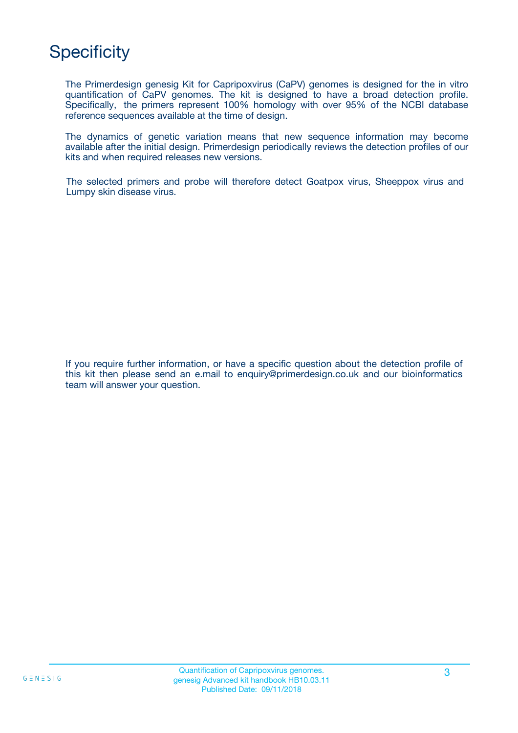# **Specificity**

The Primerdesign genesig Kit for Capripoxvirus (CaPV) genomes is designed for the in vitro quantification of CaPV genomes. The kit is designed to have a broad detection profile. Specifically, the primers represent 100% homology with over 95% of the NCBI database reference sequences available at the time of design.

The dynamics of genetic variation means that new sequence information may become available after the initial design. Primerdesign periodically reviews the detection profiles of our kits and when required releases new versions.

The selected primers and probe will therefore detect Goatpox virus, Sheeppox virus and Lumpy skin disease virus.

If you require further information, or have a specific question about the detection profile of this kit then please send an e.mail to enquiry@primerdesign.co.uk and our bioinformatics team will answer your question.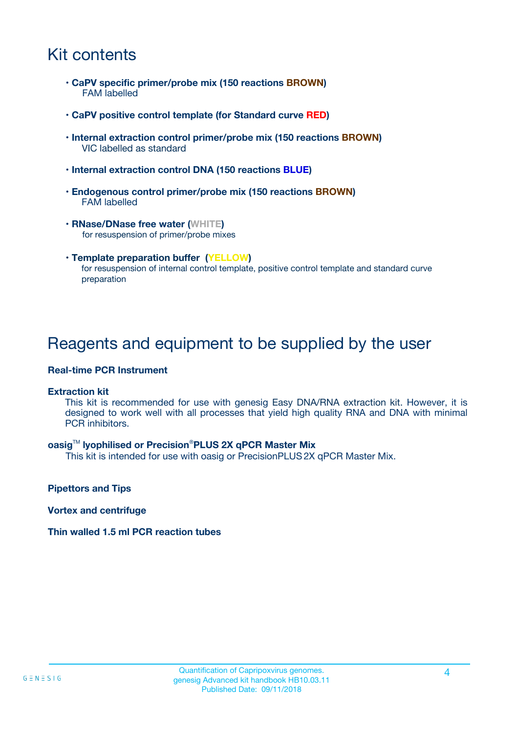### Kit contents

- **CaPV specific primer/probe mix (150 reactions BROWN)** FAM labelled
- **CaPV positive control template (for Standard curve RED)**
- **Internal extraction control primer/probe mix (150 reactions BROWN)** VIC labelled as standard
- **Internal extraction control DNA (150 reactions BLUE)**
- **Endogenous control primer/probe mix (150 reactions BROWN)** FAM labelled
- **RNase/DNase free water (WHITE)** for resuspension of primer/probe mixes
- **Template preparation buffer (YELLOW)** for resuspension of internal control template, positive control template and standard curve preparation

### Reagents and equipment to be supplied by the user

#### **Real-time PCR Instrument**

#### **Extraction kit**

This kit is recommended for use with genesig Easy DNA/RNA extraction kit. However, it is designed to work well with all processes that yield high quality RNA and DNA with minimal PCR inhibitors.

#### **oasig**TM **lyophilised or Precision**®**PLUS 2X qPCR Master Mix**

This kit is intended for use with oasig or PrecisionPLUS2X qPCR Master Mix.

**Pipettors and Tips**

**Vortex and centrifuge**

#### **Thin walled 1.5 ml PCR reaction tubes**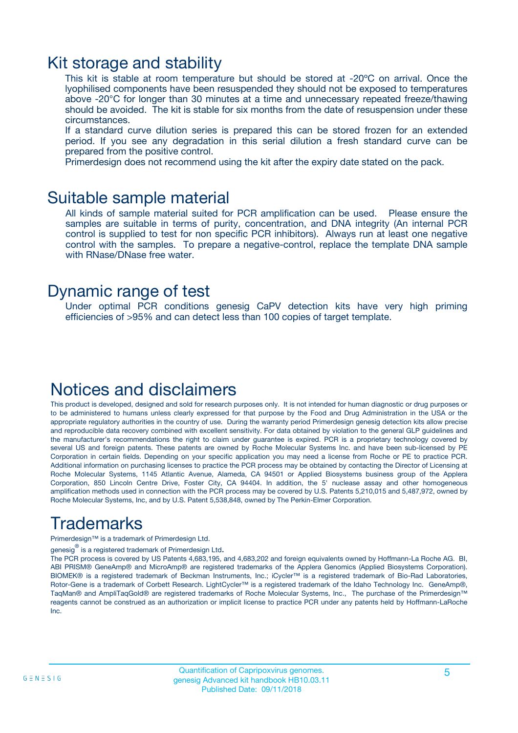### Kit storage and stability

This kit is stable at room temperature but should be stored at -20ºC on arrival. Once the lyophilised components have been resuspended they should not be exposed to temperatures above -20°C for longer than 30 minutes at a time and unnecessary repeated freeze/thawing should be avoided. The kit is stable for six months from the date of resuspension under these circumstances.

If a standard curve dilution series is prepared this can be stored frozen for an extended period. If you see any degradation in this serial dilution a fresh standard curve can be prepared from the positive control.

Primerdesign does not recommend using the kit after the expiry date stated on the pack.

### Suitable sample material

All kinds of sample material suited for PCR amplification can be used. Please ensure the samples are suitable in terms of purity, concentration, and DNA integrity (An internal PCR control is supplied to test for non specific PCR inhibitors). Always run at least one negative control with the samples. To prepare a negative-control, replace the template DNA sample with RNase/DNase free water.

### Dynamic range of test

Under optimal PCR conditions genesig CaPV detection kits have very high priming efficiencies of >95% and can detect less than 100 copies of target template.

### Notices and disclaimers

This product is developed, designed and sold for research purposes only. It is not intended for human diagnostic or drug purposes or to be administered to humans unless clearly expressed for that purpose by the Food and Drug Administration in the USA or the appropriate regulatory authorities in the country of use. During the warranty period Primerdesign genesig detection kits allow precise and reproducible data recovery combined with excellent sensitivity. For data obtained by violation to the general GLP guidelines and the manufacturer's recommendations the right to claim under guarantee is expired. PCR is a proprietary technology covered by several US and foreign patents. These patents are owned by Roche Molecular Systems Inc. and have been sub-licensed by PE Corporation in certain fields. Depending on your specific application you may need a license from Roche or PE to practice PCR. Additional information on purchasing licenses to practice the PCR process may be obtained by contacting the Director of Licensing at Roche Molecular Systems, 1145 Atlantic Avenue, Alameda, CA 94501 or Applied Biosystems business group of the Applera Corporation, 850 Lincoln Centre Drive, Foster City, CA 94404. In addition, the 5' nuclease assay and other homogeneous amplification methods used in connection with the PCR process may be covered by U.S. Patents 5,210,015 and 5,487,972, owned by Roche Molecular Systems, Inc, and by U.S. Patent 5,538,848, owned by The Perkin-Elmer Corporation.

# Trademarks

Primerdesign™ is a trademark of Primerdesign Ltd.

genesig $^\circledR$  is a registered trademark of Primerdesign Ltd.

The PCR process is covered by US Patents 4,683,195, and 4,683,202 and foreign equivalents owned by Hoffmann-La Roche AG. BI, ABI PRISM® GeneAmp® and MicroAmp® are registered trademarks of the Applera Genomics (Applied Biosystems Corporation). BIOMEK® is a registered trademark of Beckman Instruments, Inc.; iCycler™ is a registered trademark of Bio-Rad Laboratories, Rotor-Gene is a trademark of Corbett Research. LightCycler™ is a registered trademark of the Idaho Technology Inc. GeneAmp®, TaqMan® and AmpliTaqGold® are registered trademarks of Roche Molecular Systems, Inc., The purchase of the Primerdesign™ reagents cannot be construed as an authorization or implicit license to practice PCR under any patents held by Hoffmann-LaRoche Inc.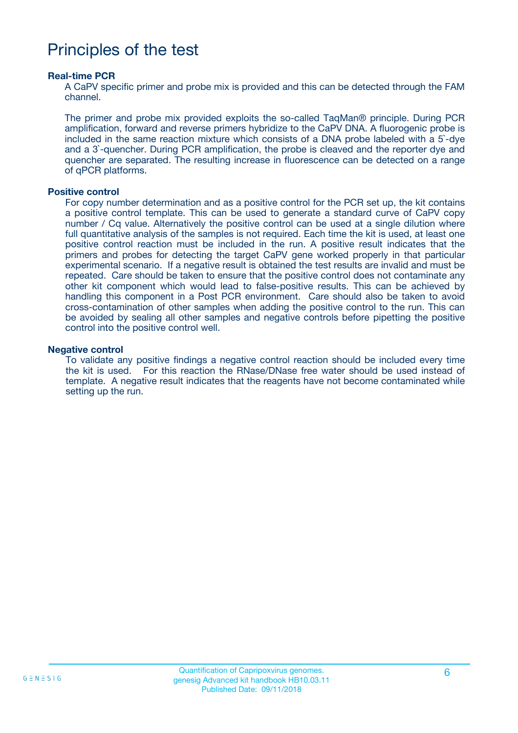### Principles of the test

#### **Real-time PCR**

A CaPV specific primer and probe mix is provided and this can be detected through the FAM channel.

The primer and probe mix provided exploits the so-called TaqMan® principle. During PCR amplification, forward and reverse primers hybridize to the CaPV DNA. A fluorogenic probe is included in the same reaction mixture which consists of a DNA probe labeled with a 5`-dye and a 3`-quencher. During PCR amplification, the probe is cleaved and the reporter dye and quencher are separated. The resulting increase in fluorescence can be detected on a range of qPCR platforms.

#### **Positive control**

For copy number determination and as a positive control for the PCR set up, the kit contains a positive control template. This can be used to generate a standard curve of CaPV copy number / Cq value. Alternatively the positive control can be used at a single dilution where full quantitative analysis of the samples is not required. Each time the kit is used, at least one positive control reaction must be included in the run. A positive result indicates that the primers and probes for detecting the target CaPV gene worked properly in that particular experimental scenario. If a negative result is obtained the test results are invalid and must be repeated. Care should be taken to ensure that the positive control does not contaminate any other kit component which would lead to false-positive results. This can be achieved by handling this component in a Post PCR environment. Care should also be taken to avoid cross-contamination of other samples when adding the positive control to the run. This can be avoided by sealing all other samples and negative controls before pipetting the positive control into the positive control well.

#### **Negative control**

To validate any positive findings a negative control reaction should be included every time the kit is used. For this reaction the RNase/DNase free water should be used instead of template. A negative result indicates that the reagents have not become contaminated while setting up the run.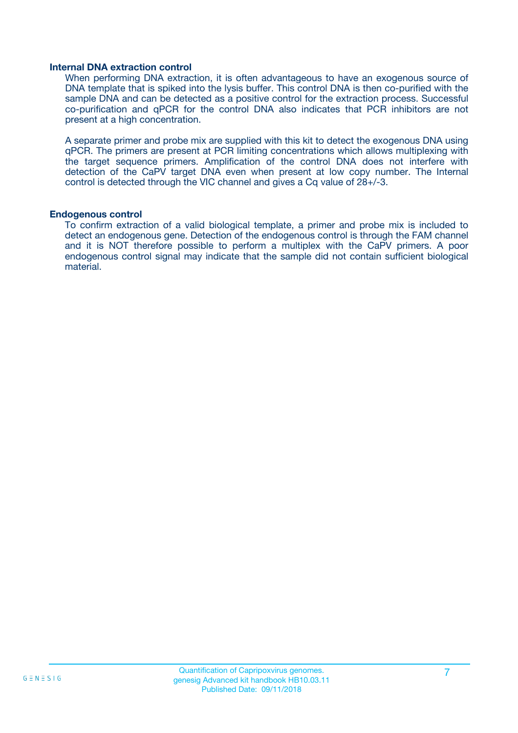#### **Internal DNA extraction control**

When performing DNA extraction, it is often advantageous to have an exogenous source of DNA template that is spiked into the lysis buffer. This control DNA is then co-purified with the sample DNA and can be detected as a positive control for the extraction process. Successful co-purification and qPCR for the control DNA also indicates that PCR inhibitors are not present at a high concentration.

A separate primer and probe mix are supplied with this kit to detect the exogenous DNA using qPCR. The primers are present at PCR limiting concentrations which allows multiplexing with the target sequence primers. Amplification of the control DNA does not interfere with detection of the CaPV target DNA even when present at low copy number. The Internal control is detected through the VIC channel and gives a Cq value of 28+/-3.

#### **Endogenous control**

To confirm extraction of a valid biological template, a primer and probe mix is included to detect an endogenous gene. Detection of the endogenous control is through the FAM channel and it is NOT therefore possible to perform a multiplex with the CaPV primers. A poor endogenous control signal may indicate that the sample did not contain sufficient biological material.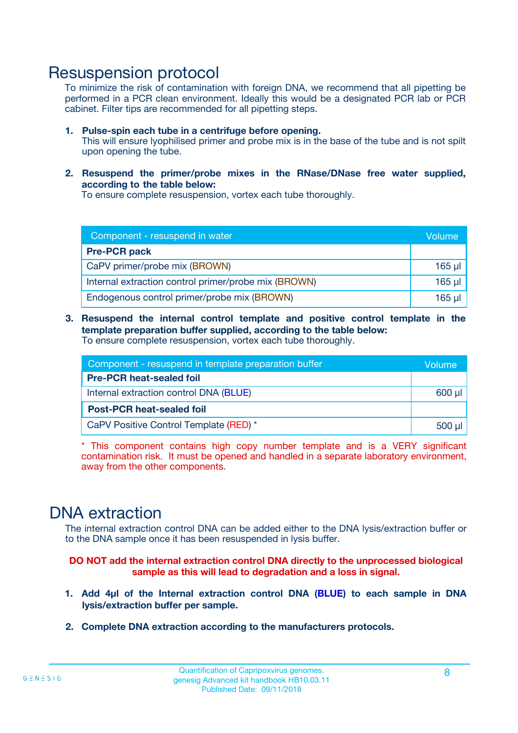### Resuspension protocol

To minimize the risk of contamination with foreign DNA, we recommend that all pipetting be performed in a PCR clean environment. Ideally this would be a designated PCR lab or PCR cabinet. Filter tips are recommended for all pipetting steps.

- **1. Pulse-spin each tube in a centrifuge before opening.** This will ensure lyophilised primer and probe mix is in the base of the tube and is not spilt upon opening the tube.
- **2. Resuspend the primer/probe mixes in the RNase/DNase free water supplied, according to the table below:**

To ensure complete resuspension, vortex each tube thoroughly.

| Component - resuspend in water                       |          |  |
|------------------------------------------------------|----------|--|
| <b>Pre-PCR pack</b>                                  |          |  |
| CaPV primer/probe mix (BROWN)                        | $165$ µ  |  |
| Internal extraction control primer/probe mix (BROWN) | $165$ µl |  |
| Endogenous control primer/probe mix (BROWN)          | 165 µl   |  |

**3. Resuspend the internal control template and positive control template in the template preparation buffer supplied, according to the table below:** To ensure complete resuspension, vortex each tube thoroughly.

| Component - resuspend in template preparation buffer |  |  |  |
|------------------------------------------------------|--|--|--|
| <b>Pre-PCR heat-sealed foil</b>                      |  |  |  |
| Internal extraction control DNA (BLUE)               |  |  |  |
| <b>Post-PCR heat-sealed foil</b>                     |  |  |  |
| CaPV Positive Control Template (RED) *               |  |  |  |

\* This component contains high copy number template and is a VERY significant contamination risk. It must be opened and handled in a separate laboratory environment, away from the other components.

### DNA extraction

The internal extraction control DNA can be added either to the DNA lysis/extraction buffer or to the DNA sample once it has been resuspended in lysis buffer.

**DO NOT add the internal extraction control DNA directly to the unprocessed biological sample as this will lead to degradation and a loss in signal.**

- **1. Add 4µl of the Internal extraction control DNA (BLUE) to each sample in DNA lysis/extraction buffer per sample.**
- **2. Complete DNA extraction according to the manufacturers protocols.**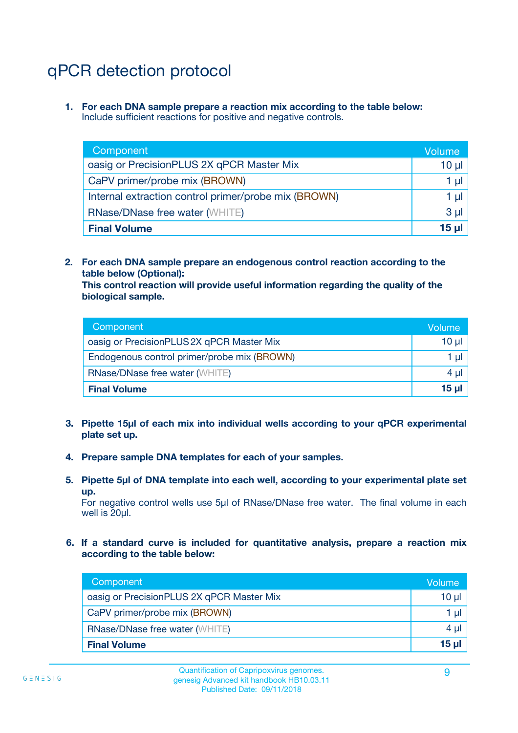# qPCR detection protocol

**1. For each DNA sample prepare a reaction mix according to the table below:** Include sufficient reactions for positive and negative controls.

| Component                                            | Volume   |
|------------------------------------------------------|----------|
| oasig or PrecisionPLUS 2X qPCR Master Mix            | $10 \mu$ |
| CaPV primer/probe mix (BROWN)                        | 1 µI     |
| Internal extraction control primer/probe mix (BROWN) | 1 µl     |
| <b>RNase/DNase free water (WHITE)</b>                | $3 \mu$  |
| <b>Final Volume</b>                                  | 15 µl    |

**2. For each DNA sample prepare an endogenous control reaction according to the table below (Optional):**

**This control reaction will provide useful information regarding the quality of the biological sample.**

| Component                                   | Volume          |
|---------------------------------------------|-----------------|
| oasig or PrecisionPLUS 2X qPCR Master Mix   | $10 \mu$        |
| Endogenous control primer/probe mix (BROWN) | 1 µI            |
| <b>RNase/DNase free water (WHITE)</b>       | 4 µl            |
| <b>Final Volume</b>                         | 15 <sub>µ</sub> |

- **3. Pipette 15µl of each mix into individual wells according to your qPCR experimental plate set up.**
- **4. Prepare sample DNA templates for each of your samples.**
- **5. Pipette 5µl of DNA template into each well, according to your experimental plate set up.**

For negative control wells use 5µl of RNase/DNase free water. The final volume in each well is 20ul.

**6. If a standard curve is included for quantitative analysis, prepare a reaction mix according to the table below:**

| Component                                 | Volume          |
|-------------------------------------------|-----------------|
| oasig or PrecisionPLUS 2X qPCR Master Mix | 10 $\mu$        |
| CaPV primer/probe mix (BROWN)             | 1 µI            |
| <b>RNase/DNase free water (WHITE)</b>     | $4 \mu$         |
| <b>Final Volume</b>                       | 15 <sub>µ</sub> |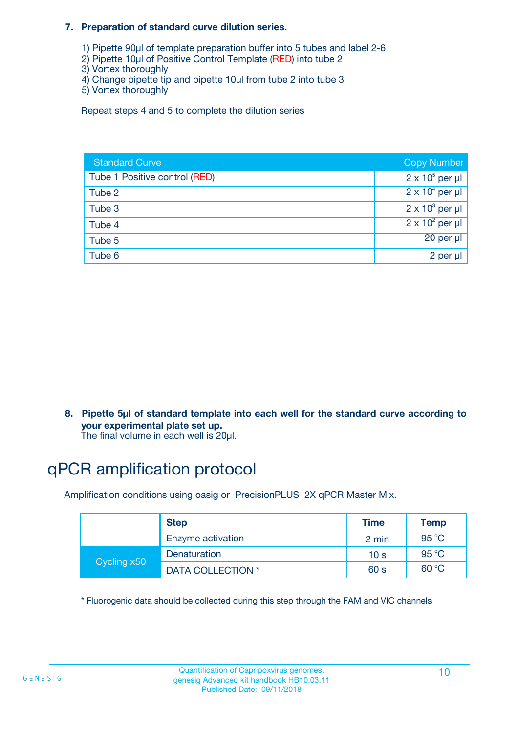#### **7. Preparation of standard curve dilution series.**

- 1) Pipette 90µl of template preparation buffer into 5 tubes and label 2-6
- 2) Pipette 10µl of Positive Control Template (RED) into tube 2
- 3) Vortex thoroughly
- 4) Change pipette tip and pipette 10µl from tube 2 into tube 3
- 5) Vortex thoroughly

Repeat steps 4 and 5 to complete the dilution series

| <b>Standard Curve</b>         | <b>Copy Number</b>     |
|-------------------------------|------------------------|
| Tube 1 Positive control (RED) | $2 \times 10^5$ per µl |
| Tube 2                        | $2 \times 10^4$ per µl |
| Tube 3                        | $2 \times 10^3$ per µl |
| Tube 4                        | $2 \times 10^2$ per µl |
| Tube 5                        | 20 per µl              |
| Tube 6                        | 2 per µl               |

**8. Pipette 5µl of standard template into each well for the standard curve according to your experimental plate set up.**

#### The final volume in each well is 20µl.

# qPCR amplification protocol

Amplification conditions using oasig or PrecisionPLUS 2X qPCR Master Mix.

|             | <b>Step</b>       | <b>Time</b>     | Temp    |
|-------------|-------------------|-----------------|---------|
|             | Enzyme activation | 2 min           | 95 °C   |
| Cycling x50 | Denaturation      | 10 <sub>s</sub> | 95 $°C$ |
|             | DATA COLLECTION * | 60 s            | 60 °C   |

\* Fluorogenic data should be collected during this step through the FAM and VIC channels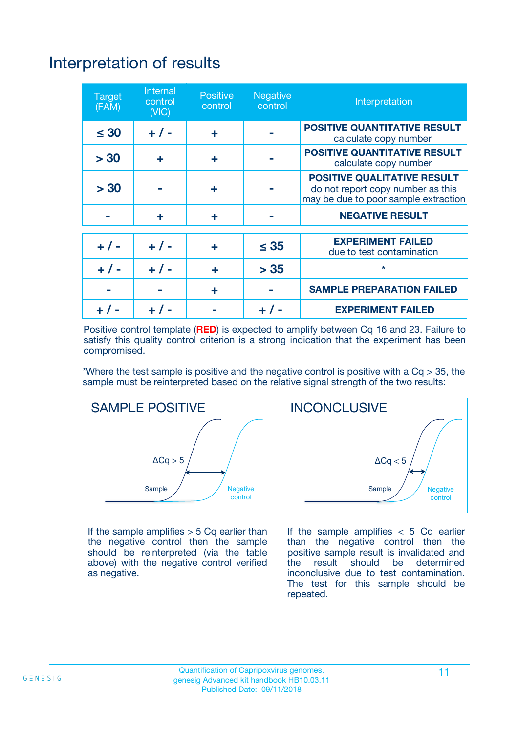# Interpretation of results

| <b>Target</b><br>(FAM) | <b>Internal</b><br>control<br>(NIC) | <b>Positive</b><br>control | <b>Negative</b><br>control | Interpretation                                                                                                  |
|------------------------|-------------------------------------|----------------------------|----------------------------|-----------------------------------------------------------------------------------------------------------------|
| $\leq 30$              | $+ 1 -$                             | ÷                          |                            | <b>POSITIVE QUANTITATIVE RESULT</b><br>calculate copy number                                                    |
| > 30                   | ٠                                   | ÷                          |                            | <b>POSITIVE QUANTITATIVE RESULT</b><br>calculate copy number                                                    |
| > 30                   |                                     | ÷                          |                            | <b>POSITIVE QUALITATIVE RESULT</b><br>do not report copy number as this<br>may be due to poor sample extraction |
|                        | ÷                                   | ÷                          |                            | <b>NEGATIVE RESULT</b>                                                                                          |
| $+ 1 -$                | $+ 1 -$                             | ÷                          | $\leq$ 35                  | <b>EXPERIMENT FAILED</b><br>due to test contamination                                                           |
| $+$ / -                | $+ 1 -$                             | ÷                          | > 35                       | $\star$                                                                                                         |
|                        |                                     | ÷                          |                            | <b>SAMPLE PREPARATION FAILED</b>                                                                                |
|                        |                                     |                            | $+$ /                      | <b>EXPERIMENT FAILED</b>                                                                                        |

Positive control template (**RED**) is expected to amplify between Cq 16 and 23. Failure to satisfy this quality control criterion is a strong indication that the experiment has been compromised.

\*Where the test sample is positive and the negative control is positive with a  $Ca > 35$ , the sample must be reinterpreted based on the relative signal strength of the two results:



If the sample amplifies  $> 5$  Cq earlier than the negative control then the sample should be reinterpreted (via the table above) with the negative control verified as negative.



If the sample amplifies  $< 5$  Cq earlier than the negative control then the positive sample result is invalidated and<br>the result should be determined  $the$  result should be inconclusive due to test contamination. The test for this sample should be repeated.